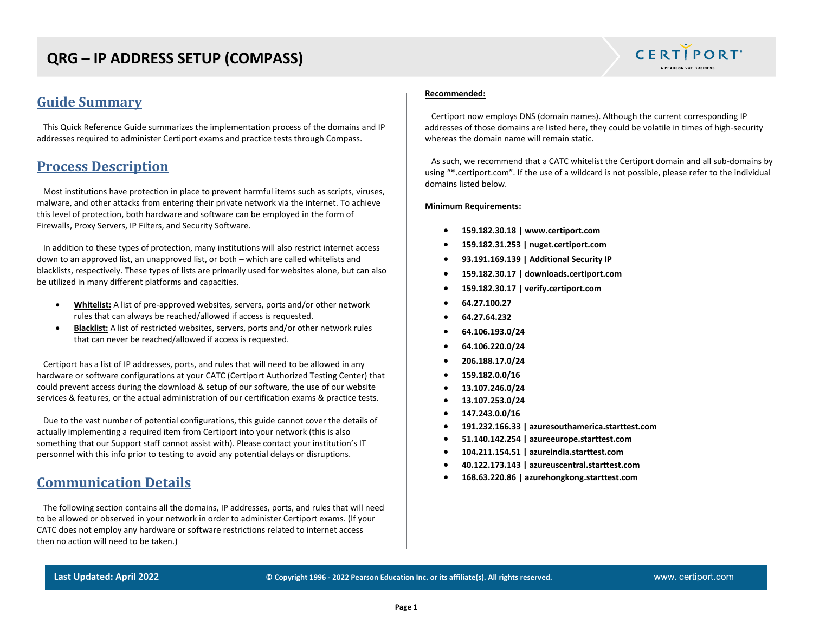# **QRG – IP ADDRESS SETUP (COMPASS)**

### **Guide Summary**

 This Quick Reference Guide summarizes the implementation process of the domains and IP addresses required to administer Certiport exams and practice tests through Compass.

### **Process Description**

 Most institutions have protection in place to prevent harmful items such as scripts, viruses, malware, and other attacks from entering their private network via the internet. To achieve this level of protection, both hardware and software can be employed in the form of Firewalls, Proxy Servers, IP Filters, and Security Software.

 In addition to these types of protection, many institutions will also restrict internet access down to an approved list, an unapproved list, or both – which are called whitelists and blacklists, respectively. These types of lists are primarily used for websites alone, but can also be utilized in many different platforms and capacities.

- **Whitelist:** A list of pre-approved websites, servers, ports and/or other network rules that can always be reached/allowed if access is requested.
- **Blacklist:** A list of restricted websites, servers, ports and/or other network rules that can never be reached/allowed if access is requested.

 Certiport has a list of IP addresses, ports, and rules that will need to be allowed in any hardware or software configurations at your CATC (Certiport Authorized Testing Center) that could prevent access during the download & setup of our software, the use of our website services & features, or the actual administration of our certification exams & practice tests.

 Due to the vast number of potential configurations, this guide cannot cover the details of actually implementing a required item from Certiport into your network (this is also something that our Support staff cannot assist with). Please contact your institution's IT personnel with this info prior to testing to avoid any potential delays or disruptions.

### **Communication Details**

 The following section contains all the domains, IP addresses, ports, and rules that will need to be allowed or observed in your network in order to administer Certiport exams. (If your CATC does not employ any hardware or software restrictions related to internet access then no action will need to be taken.)

#### **Recommended:**

Certiport now employs DNS (domain names). Although the current corresponding IP addresses of those domains are listed here, they could be volatile in times of high-security whereas the domain name will remain static.

**CERTIPORT** A PEARSON VUE BUSINESS

 As such, we recommend that a CATC whitelist the Certiport domain and all sub-domains by using "\*.certiport.com". If the use of a wildcard is not possible, please refer to the individual domains listed below.

#### **Minimum Requirements:**

- **159.182.30.18 | www.certiport.com**
- **159.182.31.253 | nuget.certiport.com**
- **93.191.169.139 | Additional Security IP**
- **159.182.30.17 | downloads.certiport.com**
- **159.182.30.17 | verify.certiport.com**
- **64.27.100.27**
- **64.27.64.232**
- **64.106.193.0/24**
- **64.106.220.0/24**
- **206.188.17.0/24**
- **159.182.0.0/16**
- **13.107.246.0/24**
- **13.107.253.0/24**
- **147.243.0.0/16**
- **191.232.166.33 | azuresouthamerica.starttest.com**
- **51.140.142.254 | azureeurope.starttest.com**
- **104.211.154.51 | azureindia.starttest.com**
- **40.122.173.143 | azureuscentral.starttest.com**
- **168.63.220.86 | azurehongkong.starttest.com**